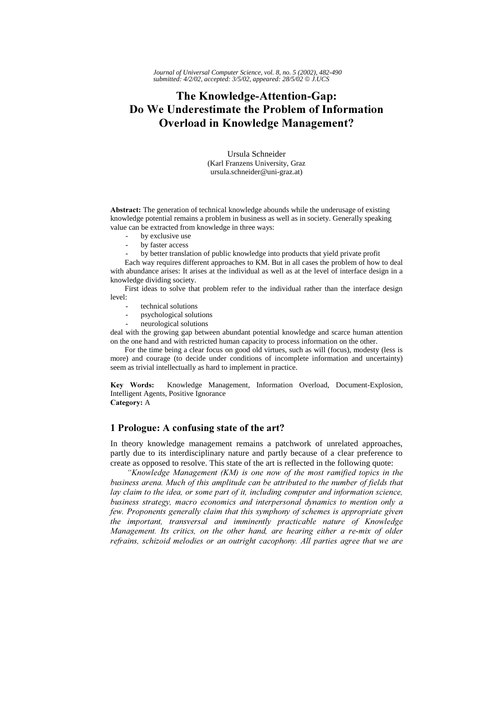# The Knowledge-Attention-Gap: Do We Underestimate the Problem of Information **Overload in Knowledge Management?**

Ursula Schneider (Karl Franzens University, Graz ursula.schneider@uni-graz.at)

Abstract: The generation of technical knowledge abounds while the underusage of existing knowledge potential remains a problem in business as well as in society. Generally speaking value can be extracted from knowledge in three ways:

- by exclusive use
- by faster access
- by better translation of public knowledge into products that yield private profit

Each way requires different approaches to KM. But in all cases the problem of how to deal with abundance arises: It arises at the individual as well as at the level of interface design in a knowledge dividing society.

First ideas to solve that problem refer to the individual rather than the interface design level:

- technical solutions
- psychological solutions
- neurological solutions

deal with the growing gap between abundant potential knowledge and scarce human attention on the one hand and with restricted human capacity to process information on the other.

For the time being a clear focus on good old virtues, such as will (focus), modesty (less is more) and courage (to decide under conditions of incomplete information and uncertainty) seem as trivial intellectually as hard to implement in practice.

Kev Words: Knowledge Management, Information Overload, Document-Explosion, Intelligent Agents, Positive Ignorance Category: A

## 1 Prologue: A confusing state of the art?

In theory knowledge management remains a patchwork of unrelated approaches, partly due to its interdisciplinary nature and partly because of a clear preference to create as opposed to resolve. This state of the art is reflected in the following quote:

"Knowledge Management (KM) is one now of the most ramified topics in the business arena. Much of this amplitude can be attributed to the number of fields that lay claim to the idea, or some part of it, including computer and information science, business strategy, macro economics and interpersonal dynamics to mention only a few. Proponents generally claim that this symphony of schemes is appropriate given the important, transversal and imminently practicable nature of Knowledge Management. Its critics, on the other hand, are hearing either a re-mix of older refrains, schizoid melodies or an outright cacophony. All parties agree that we are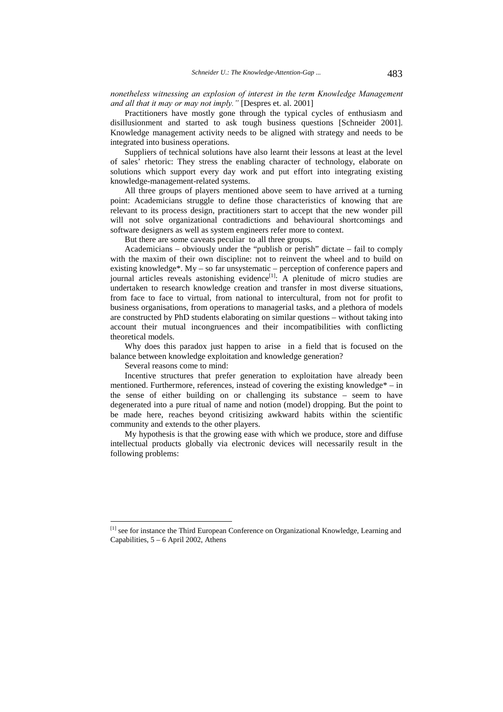nonetheless witnessing an explosion of interest in the term Knowledge Management and all that it may or may not imply." [Despres et. al. 2001]

Practitioners have mostly gone through the typical cycles of enthusiasm and disillusionment and started to ask tough business questions [Schneider 2001]. Knowledge management activity needs to be aligned with strategy and needs to be integrated into business operations.

Suppliers of technical solutions have also learnt their lessons at least at the level of sales' rhetoric: They stress the enabling character of technology, elaborate on solutions which support every day work and put effort into integrating existing knowledge-management-related systems.

All three groups of players mentioned above seem to have arrived at a turning point: Academicians struggle to define those characteristics of knowing that are relevant to its process design, practitioners start to accept that the new wonder pill will not solve organizational contradictions and behavioural shortcomings and software designers as well as system engineers refer more to context.

But there are some caveats peculiar to all three groups.

Academicians – obviously under the "publish or perish" dictate – fail to comply with the maxim of their own discipline: not to reinvent the wheel and to build on existing knowledge\*. My – so far unsystematic – perception of conference papers and journal articles reveals astonishing evidence<sup>[1]</sup>: A plenitude of micro studies are undertaken to research knowledge creation and transfer in most diverse situations, from face to face to virtual, from national to intercultural, from not for profit to business organisations, from operations to managerial tasks, and a plethora of models are constructed by PhD students elaborating on similar questions – without taking into account their mutual incongruences and their incompatibilities with conflicting theoretical models.

Why does this paradox just happen to arise in a field that is focused on the balance between knowledge exploitation and knowledge generation?

Several reasons come to mind:

 $\overline{a}$ 

Incentive structures that prefer generation to exploitation have already been mentioned. Furthermore, references, instead of covering the existing knowledge\* – in the sense of either building on or challenging its substance – seem to have degenerated into a pure ritual of name and notion (model) dropping. But the point to be made here, reaches beyond critisizing awkward habits within the scientific community and extends to the other players.

My hypothesis is that the growing ease with which we produce, store and diffuse intellectual products globally via electronic devices will necessarily result in the following problems:

<sup>[1]</sup> see for instance the Third European Conference on Organizational Knowledge, Learning and Capabilities, 5 – 6 April 2002, Athens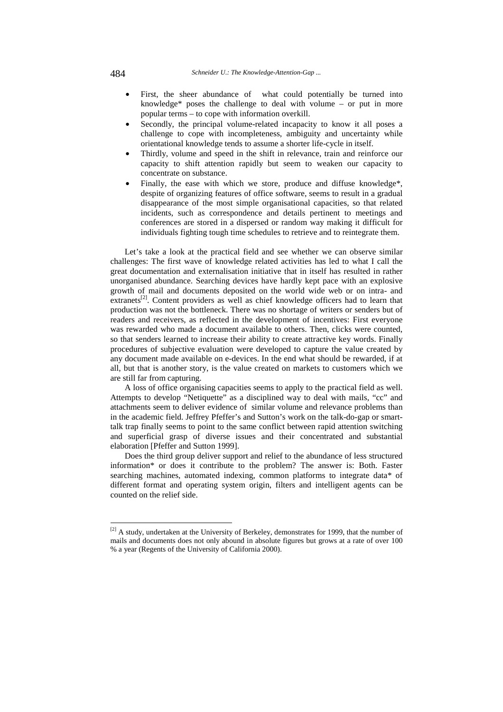- First, the sheer abundance of what could potentially be turned into knowledge\* poses the challenge to deal with volume – or put in more popular terms – to cope with information overkill.
- Secondly, the principal volume-related incapacity to know it all poses a challenge to cope with incompleteness, ambiguity and uncertainty while orientational knowledge tends to assume a shorter life-cycle in itself.
- Thirdly, volume and speed in the shift in relevance, train and reinforce our capacity to shift attention rapidly but seem to weaken our capacity to concentrate on substance.
- Finally, the ease with which we store, produce and diffuse knowledge\*, despite of organizing features of office software, seems to result in a gradual disappearance of the most simple organisational capacities, so that related incidents, such as correspondence and details pertinent to meetings and conferences are stored in a dispersed or random way making it difficult for individuals fighting tough time schedules to retrieve and to reintegrate them.

Let's take a look at the practical field and see whether we can observe similar challenges: The first wave of knowledge related activities has led to what I call the great documentation and externalisation initiative that in itself has resulted in rather unorganised abundance. Searching devices have hardly kept pace with an explosive growth of mail and documents deposited on the world wide web or on intra- and extranets<sup>[2]</sup>. Content providers as well as chief knowledge officers had to learn that production was not the bottleneck. There was no shortage of writers or senders but of readers and receivers, as reflected in the development of incentives: First everyone was rewarded who made a document available to others. Then, clicks were counted, so that senders learned to increase their ability to create attractive key words. Finally procedures of subjective evaluation were developed to capture the value created by any document made available on e-devices. In the end what should be rewarded, if at all, but that is another story, is the value created on markets to customers which we are still far from capturing.

A loss of office organising capacities seems to apply to the practical field as well. Attempts to develop "Netiquette" as a disciplined way to deal with mails, "cc" and attachments seem to deliver evidence of similar volume and relevance problems than in the academic field. Jeffrey Pfeffer's and Sutton's work on the talk-do-gap or smarttalk trap finally seems to point to the same conflict between rapid attention switching and superficial grasp of diverse issues and their concentrated and substantial elaboration [Pfeffer and Sutton 1999].

Does the third group deliver support and relief to the abundance of less structured information\* or does it contribute to the problem? The answer is: Both. Faster searching machines, automated indexing, common platforms to integrate data\* of different format and operating system origin, filters and intelligent agents can be counted on the relief side.

 $\overline{a}$ 

 $[2]$  A study, undertaken at the University of Berkeley, demonstrates for 1999, that the number of mails and documents does not only abound in absolute figures but grows at a rate of over 100 % a year (Regents of the University of California 2000).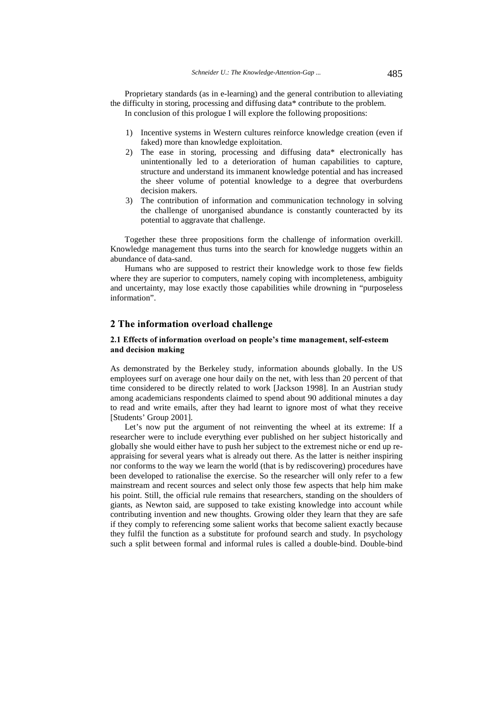Proprietary standards (as in e-learning) and the general contribution to alleviating the difficulty in storing, processing and diffusing data\* contribute to the problem. In conclusion of this prologue I will explore the following propositions:

- 1) Incentive systems in Western cultures reinforce knowledge creation (even if faked) more than knowledge exploitation.
- 2) The ease in storing, processing and diffusing data\* electronically has unintentionally led to a deterioration of human capabilities to capture, structure and understand its immanent knowledge potential and has increased the sheer volume of potential knowledge to a degree that overburdens decision makers.
- 3) The contribution of information and communication technology in solving the challenge of unorganised abundance is constantly counteracted by its potential to aggravate that challenge.

Together these three propositions form the challenge of information overkill. Knowledge management thus turns into the search for knowledge nuggets within an abundance of data-sand.

Humans who are supposed to restrict their knowledge work to those few fields where they are superior to computers, namely coping with incompleteness, ambiguity and uncertainty, may lose exactly those capabilities while drowning in "purposeless information".

## 2 The information overload challenge

### 2.1 Effects of information overload on people's time management, self-esteem and decision making

As demonstrated by the Berkeley study, information abounds globally. In the US employees surf on average one hour daily on the net, with less than 20 percent of that time considered to be directly related to work [Jackson 1998]. In an Austrian study among academicians respondents claimed to spend about 90 additional minutes a day to read and write emails, after they had learnt to ignore most of what they receive [Students' Group 2001].

Let's now put the argument of not reinventing the wheel at its extreme: If a researcher were to include everything ever published on her subject historically and globally she would either have to push her subject to the extremest niche or end up reappraising for several years what is already out there. As the latter is neither inspiring nor conforms to the way we learn the world (that is by rediscovering) procedures have been developed to rationalise the exercise. So the researcher will only refer to a few mainstream and recent sources and select only those few aspects that help him make his point. Still, the official rule remains that researchers, standing on the shoulders of giants, as Newton said, are supposed to take existing knowledge into account while contributing invention and new thoughts. Growing older they learn that they are safe if they comply to referencing some salient works that become salient exactly because they fulfil the function as a substitute for profound search and study. In psychology such a split between formal and informal rules is called a double-bind. Double-bind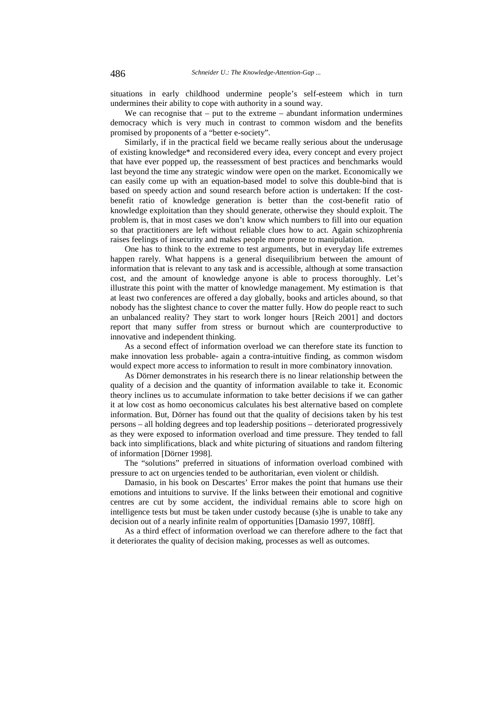situations in early childhood undermine people's self-esteem which in turn undermines their ability to cope with authority in a sound way.

We can recognise that  $-$  put to the extreme  $-$  abundant information undermines democracy which is very much in contrast to common wisdom and the benefits promised by proponents of a "better e-society".

Similarly, if in the practical field we became really serious about the underusage of existing knowledge\* and reconsidered every idea, every concept and every project that have ever popped up, the reassessment of best practices and benchmarks would last beyond the time any strategic window were open on the market. Economically we can easily come up with an equation-based model to solve this double-bind that is based on speedy action and sound research before action is undertaken: If the costbenefit ratio of knowledge generation is better than the cost-benefit ratio of knowledge exploitation than they should generate, otherwise they should exploit. The problem is, that in most cases we don't know which numbers to fill into our equation so that practitioners are left without reliable clues how to act. Again schizophrenia raises feelings of insecurity and makes people more prone to manipulation.

One has to think to the extreme to test arguments, but in everyday life extremes happen rarely. What happens is a general disequilibrium between the amount of information that is relevant to any task and is accessible, although at some transaction cost, and the amount of knowledge anyone is able to process thoroughly. Let's illustrate this point with the matter of knowledge management. My estimation is that at least two conferences are offered a day globally, books and articles abound, so that nobody has the slightest chance to cover the matter fully. How do people react to such an unbalanced reality? They start to work longer hours [Reich 2001] and doctors report that many suffer from stress or burnout which are counterproductive to innovative and independent thinking.

As a second effect of information overload we can therefore state its function to make innovation less probable- again a contra-intuitive finding, as common wisdom would expect more access to information to result in more combinatory innovation.

As Dörner demonstrates in his research there is no linear relationship between the quality of a decision and the quantity of information available to take it. Economic theory inclines us to accumulate information to take better decisions if we can gather it at low cost as homo oeconomicus calculates his best alternative based on complete information. But, Dörner has found out that the quality of decisions taken by his test persons – all holding degrees and top leadership positions – deteriorated progressively as they were exposed to information overload and time pressure. They tended to fall back into simplifications, black and white picturing of situations and random filtering of information [Dörner 1998].

The "solutions" preferred in situations of information overload combined with pressure to act on urgencies tended to be authoritarian, even violent or childish.

Damasio, in his book on Descartes' Error makes the point that humans use their emotions and intuitions to survive. If the links between their emotional and cognitive centres are cut by some accident, the individual remains able to score high on intelligence tests but must be taken under custody because (s)he is unable to take any decision out of a nearly infinite realm of opportunities [Damasio 1997, 108ff].

As a third effect of information overload we can therefore adhere to the fact that it deteriorates the quality of decision making, processes as well as outcomes.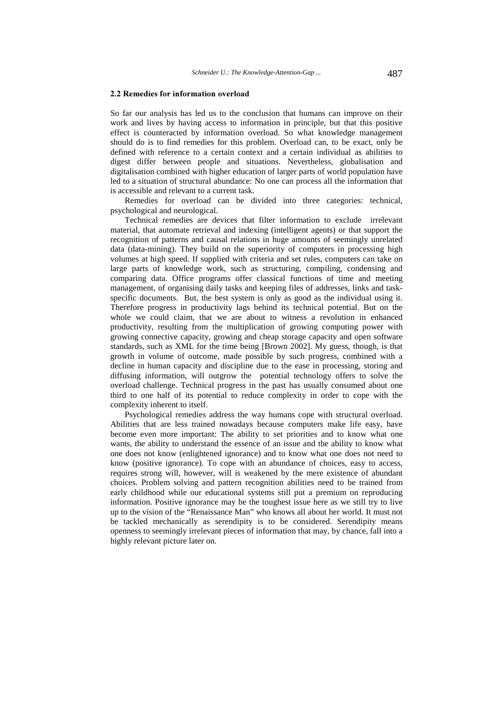#### 2.2 Remedies for information overload

So far our analysis has led us to the conclusion that humans can improve on their work and lives by having access to information in principle, but that this positive effect is counteracted by information overload. So what knowledge management should do is to find remedies for this problem. Overload can, to be exact, only be defined with reference to a certain context and a certain individual as abilities to digest differ between people and situations. Nevertheless, globalisation and digitalisation combined with higher education of larger parts of world population have led to a situation of structural abundance: No one can process all the information that is accessible and relevant to a current task.

Remedies for overload can be divided into three categories: technical, psychological and neurological.

Technical remedies are devices that filter information to exclude irrelevant material, that automate retrieval and indexing (intelligent agents) or that support the recognition of patterns and causal relations in huge amounts of seemingly unrelated data (data-mining). They build on the superiority of computers in processing high volumes at high speed. If supplied with criteria and set rules, computers can take on large parts of knowledge work, such as structuring, compiling, condensing and comparing data. Office programs offer classical functions of time and meeting management, of organising daily tasks and keeping files of addresses, links and taskspecific documents. But, the best system is only as good as the individual using it. Therefore progress in productivity lags behind its technical potential. But on the whole we could claim, that we are about to witness a revolution in enhanced productivity, resulting from the multiplication of growing computing power with growing connective capacity, growing and cheap storage capacity and open software standards, such as XML for the time being [Brown 2002]. My guess, though, is that growth in volume of outcome, made possible by such progress, combined with a decline in human capacity and discipline due to the ease in processing, storing and diffusing information, will outgrow the potential technology offers to solve the overload challenge. Technical progress in the past has usually consumed about one third to one half of its potential to reduce complexity in order to cope with the complexity inherent to itself.

Psychological remedies address the way humans cope with structural overload. Abilities that are less trained nowadays because computers make life easy, have become even more important: The ability to set priorities and to know what one wants, the ability to understand the essence of an issue and the ability to know what one does not know (enlightened ignorance) and to know what one does not need to know (positive ignorance). To cope with an abundance of choices, easy to access, requires strong will, however, will is weakened by the mere existence of abundant choices. Problem solving and pattern recognition abilities need to be trained from early childhood while our educational systems still put a premium on reproducing information. Positive ignorance may be the toughest issue here as we still try to live up to the vision of the "Renaissance Man" who knows all about her world. It must not be tackled mechanically as serendipity is to be considered. Serendipity means openness to seemingly irrelevant pieces of information that may, by chance, fall into a highly relevant picture later on.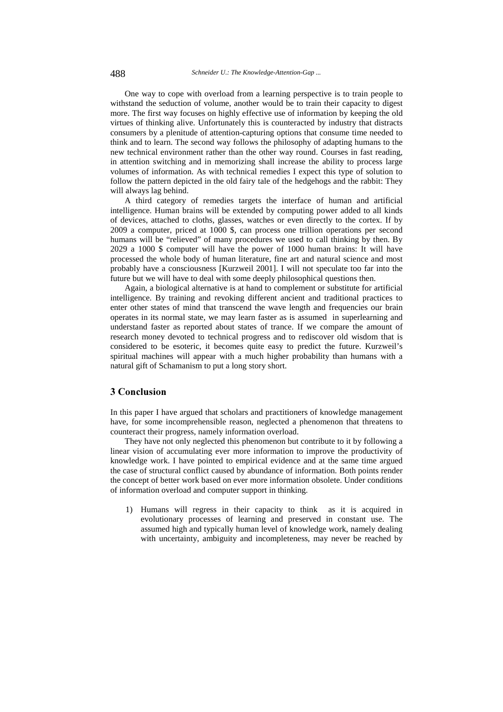One way to cope with overload from a learning perspective is to train people to withstand the seduction of volume, another would be to train their capacity to digest more. The first way focuses on highly effective use of information by keeping the old virtues of thinking alive. Unfortunately this is counteracted by industry that distracts consumers by a plenitude of attention-capturing options that consume time needed to think and to learn. The second way follows the philosophy of adapting humans to the new technical environment rather than the other way round. Courses in fast reading, in attention switching and in memorizing shall increase the ability to process large volumes of information. As with technical remedies I expect this type of solution to follow the pattern depicted in the old fairy tale of the hedgehogs and the rabbit: They will always lag behind.

A third category of remedies targets the interface of human and artificial intelligence. Human brains will be extended by computing power added to all kinds of devices, attached to cloths, glasses, watches or even directly to the cortex. If by 2009 a computer, priced at 1000 \$, can process one trillion operations per second humans will be "relieved" of many procedures we used to call thinking by then. By 2029 a 1000 \$ computer will have the power of 1000 human brains: It will have processed the whole body of human literature, fine art and natural science and most probably have a consciousness [Kurzweil 2001]. I will not speculate too far into the future but we will have to deal with some deeply philosophical questions then.

Again, a biological alternative is at hand to complement or substitute for artificial intelligence. By training and revoking different ancient and traditional practices to enter other states of mind that transcend the wave length and frequencies our brain operates in its normal state, we may learn faster as is assumed in superlearning and understand faster as reported about states of trance. If we compare the amount of research money devoted to technical progress and to rediscover old wisdom that is considered to be esoteric, it becomes quite easy to predict the future. Kurzweil's spiritual machines will appear with a much higher probability than humans with a natural gift of Schamanism to put a long story short.

## 3 Conclusion

In this paper I have argued that scholars and practitioners of knowledge management have, for some incomprehensible reason, neglected a phenomenon that threatens to counteract their progress, namely information overload.

They have not only neglected this phenomenon but contribute to it by following a linear vision of accumulating ever more information to improve the productivity of knowledge work. I have pointed to empirical evidence and at the same time argued the case of structural conflict caused by abundance of information. Both points render the concept of better work based on ever more information obsolete. Under conditions of information overload and computer support in thinking.

1) Humans will regress in their capacity to think as it is acquired in evolutionary processes of learning and preserved in constant use. The assumed high and typically human level of knowledge work, namely dealing with uncertainty, ambiguity and incompleteness, may never be reached by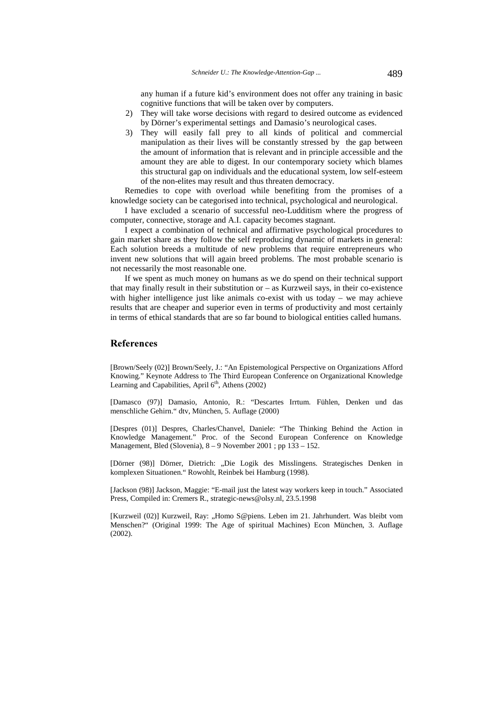any human if a future kid's environment does not offer any training in basic cognitive functions that will be taken over by computers.

- 2) They will take worse decisions with regard to desired outcome as evidenced by Dörner's experimental settings and Damasio's neurological cases.
- 3) They will easily fall prey to all kinds of political and commercial manipulation as their lives will be constantly stressed by the gap between the amount of information that is relevant and in principle accessible and the amount they are able to digest. In our contemporary society which blames this structural gap on individuals and the educational system, low self-esteem of the non-elites may result and thus threaten democracy.

Remedies to cope with overload while benefiting from the promises of a knowledge society can be categorised into technical, psychological and neurological.

I have excluded a scenario of successful neo-Ludditism where the progress of computer, connective, storage and A.I. capacity becomes stagnant.

I expect a combination of technical and affirmative psychological procedures to gain market share as they follow the self reproducing dynamic of markets in general: Each solution breeds a multitude of new problems that require entrepreneurs who invent new solutions that will again breed problems. The most probable scenario is not necessarily the most reasonable one.

If we spent as much money on humans as we do spend on their technical support that may finally result in their substitution or – as Kurzweil says, in their co-existence with higher intelligence just like animals co-exist with us today – we may achieve results that are cheaper and superior even in terms of productivity and most certainly in terms of ethical standards that are so far bound to biological entities called humans.

### **References**

[Brown/Seely (02)] Brown/Seely, J.: "An Epistemological Perspective on Organizations Afford Knowing." Keynote Address to The Third European Conference on Organizational Knowledge Learning and Capabilities, April  $6<sup>th</sup>$ , Athens (2002)

[Damasco (97)] Damasio, Antonio, R.: "Descartes Irrtum. Fühlen, Denken und das menschliche Gehirn." dtv, München, 5. Auflage (2000)

[Despres (01)] Despres, Charles/Chanvel, Daniele: "The Thinking Behind the Action in Knowledge Management." Proc. of the Second European Conference on Knowledge Management, Bled (Slovenia), 8 – 9 November 2001 ; pp 133 – 152.

[Dörner (98)] Dörner, Dietrich: "Die Logik des Misslingens. Strategisches Denken in komplexen Situationen." Rowohlt, Reinbek bei Hamburg (1998).

[Jackson (98)] Jackson, Maggie: "E-mail just the latest way workers keep in touch." Associated Press, Compiled in: Cremers R., strategic-news@olsy.nl, 23.5.1998

[Kurzweil (02)] Kurzweil, Ray: "Homo S@piens. Leben im 21. Jahrhundert. Was bleibt vom Menschen?" (Original 1999: The Age of spiritual Machines) Econ München, 3. Auflage (2002).